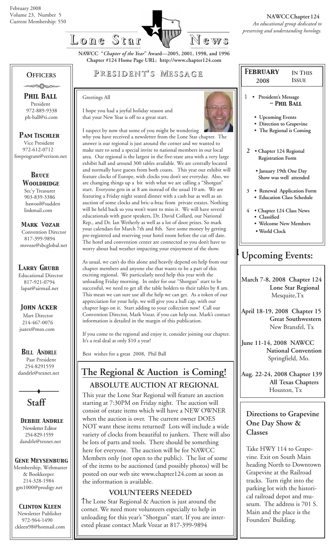

**NAWCC "***Chapter of the Year***" Award—2005, 2001, 1998, and 1996 Chapter #124 Home Page URL: http://www.chapter124.com**

### **OFFICERS**

-∞∞∆∧∞∞

 *Phil Ball* President 972-889-9338 ph-ball@ti.com

 *Pam Tischler* Vice President 972-612-0712 fswprogram@verizon.net

> *BRuce Wooldridge* Sec'y Treasurer 903-839-3386 bawool@sudden linkmail.com

 *Mark Vozar* Convention Director 817-399-9894 msvoze@sbcglobal.net

### *Larry Grubb*

Educational Director 817-921-0794 lapat@airmail.net

### *John Acker*

Mart Director 214-467-0076 jsatex@msn.com

*BILL ANDRLE*

 Past President 254-8291559 dandrle@texnet.net



 *Debbie Andrle* Newsletter Editor 254-829-1559 dandrle@texnet.net

### *Gene Meysenburg*

Membership, Webmaster & Bookkeeper 214-328-1984 gm1000@prodigy.net

## *Clinton Kleen*

 Newsletter Publisher 972-964-1490 ckleen98@hotmail.com

## **P RESIDENT RESIDENT' S M ESSAGE**

#### Greetings All

I hope you had a joyful holiday season and that your New Year is off to a great start.



I suspect by now that some of you might be wondering why you have received a newsletter from the Lone Star chapter. The answer is our regional is just around the corner and we wanted to make sure to send a special invite to national members in our local area. Our regional is the largest in the five-state area with a very large exhibit hall and around 300 tables available. We are centrally located and normally have guests from both coasts. This year our exhibit will feature clocks of Europe, with clocks you don't see everyday. Also, we are changing things up a bit with what we are calling a "Shotgun" start. Everyone gets in at 8 am instead of the usual 10 am. We are featuring a Friday night seated dinner with a cash bar as well as an auction of some clocks and bric-a-brac from private estates. Nothing will be held back so you won't want to miss it. We will have several educationals with guest speakers, Dr. David Collard, our National Rep., and Dr. Ian Wetherly as well as a lot of door prizes. So mark your calendars for March 7th and 8th. Save some money by getting pre-registered and reserving your hotel room before the cut off date. The hotel and convention center are connected so you don't have to worry about bad weather impacting your enjoyment of the show.

As usual, we can't do this alone and heavily depend on help from our chapter members and anyone else that wants to be a part of this exciting regional. We particularly need help this year with the unloading Friday morning. In order for our "Shotgun" start to be successful, we need to get all the table holders to their tables by 8 am. This mean we can sure use all the help we can get. As a token of our appreciation for your help, we will give you a ball cap, with our chapter logo on it. Start adding to your collection now! Call our Convention Director, Mark Vozar, if you can help out. Mark's contact information is detailed in the margin of this publication.

If you come to the regional and enjoy it, consider joining our chapter. It's a real deal at only \$10 a year!

Best wishes for a great 2008, Phil Ball

# **The Regional & Auction is Coming!**

**ABSOLUTE AUCTION AT REGIONAL**

This year the Lone Star Regional will feature an auction starting at 7:30PM on Friday night. The auction will consist of estate items which will have a NEW OWNER when the auction is over. The current owner DOES NOT want these items returned! Lots will include a wide variety of clocks from beautiful to junkers. There will also be lots of parts and tools. There should be something here for everyone. The auction will be for NAWCC Members only (not open to the public). The list of some of the items to be auctioned (and possibly photos) will be posted on our web site www.chapter124.com as soon as the information is available.

### **VOLUNTEERS NEEDED**

The Lone Star Regional & Auction is just around the corner. We need more volunteers especially to help in unloading for this year's "Shotgun" start. If you are interested please contact Mark Vozar at 817-399-9894

| <b>FEBRUARY</b>                                                                                    | <b>IN THIS</b>             |  |
|----------------------------------------------------------------------------------------------------|----------------------------|--|
| 2008                                                                                               | <b>ISSUE</b>               |  |
| 1<br>President's Message<br>$\sim$ Phil Ball                                                       |                            |  |
| <b>Upcoming Events</b><br>• Direction to Grapevine<br>• The Regional is Coming                     |                            |  |
| $\mathcal{D}_{\cdot}$<br>• Chapter 124 Regional<br><b>Registration Form</b>                        |                            |  |
| • January 19th One Day<br>Show was well attended                                                   |                            |  |
| 3 <sup>1</sup><br>· Education Class Schedule                                                       | · Renewal Application Form |  |
| $\overline{4}$<br>• Chapter 124 Class News<br>Classified<br>• Welcome New Members<br>• World Clock |                            |  |
| <b>Upcoming Events:</b>                                                                            |                            |  |
| March 7-8, 2008 Chapter 124                                                                        |                            |  |

 **Lone Star Regional** Mesquite,Tx

**April 18-19, 2008 Chapter 15 Great Southwestern** New Bransfel, Tx

**June 11-14, 2008 NAWCC National Convention** Springfield, Mo.

**Aug. 22-24, 2008 Chapter 139 All Texas Chapters** Houston, Tx

### **Directions to Grapevine One Day Show & Classes**

Take HWY 114 to Grapevine. Exit on South Main heading North to Downtown Grapevine at the Railroad tracks. Turn right into the parking lot with the historical railroad depot and museum. The address is 701 S. Main and the place is the Founders' Building.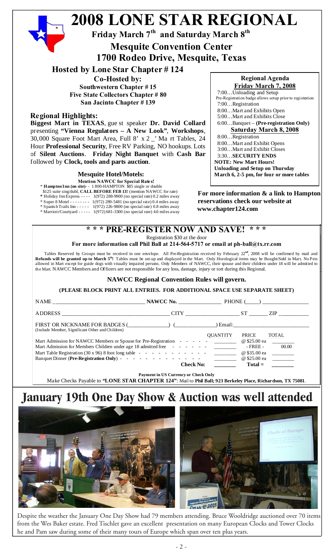#### **2008 LONE STAR REGIONAL Friday March 7th and Saturday March 8th For more information & a link to Hampton reservations check our website at** \* Spanish Trails Inn - - - - - 1(972) 226-9800 (no special rate) 0.8 miles away<br>\* Marriott/Courtyard **- - - -** 1(972) 681-3300 (no special rate) 4.0 miles away **\* \* \* PRE-REGISTER NOW AND SAVE! \* \* \*** Registration \$30 at the door **For more information call Phil Ball at 214-564-5717 or email at ph-ball@tx.rr.com** Tables Reserved by Groups must be received in one envelope. All Pre-Registration received by February 22**nd**, 2008 will be confirmed by mail and **Regional Agenda Friday March 7, 2008** 7:00…Unloading and Setup Pre-Registration badge allows setup prior to registration 7:00…Registration 8:00…Mart and Exhibits Open 5:00…Mart and Exhibits Close 6:00…Banquet – **(Pre-registration Only) Saturday March 8, 2008** 8:00…Registration 8:00…Mart and Exhibit Opens 3:00…Mart and Exhibit Closes 3:30…**SECURITY ENDS NOTE: New Mart Hours! Unloading and Setup on Thursday March 6, 2-5 pm, for four or more tables Hosted by Lone Star Chapter # 124 Co-Hosted by: Southwestern Chapter # 15 Five State Collectors Chapter # 80 San Jacinto Chapter # 139 Regional Highlights: Biggest Mart in TEXAS**, gue st speaker **Dr. David Collard** presenting **"Vienna Regulators – A New Look"**, **Workshops**, 30,000 Square Foot Mart Area, Full 8' x 2 \_' Ma rt Tables, 24 Hour **Professional Security**, Free RV Parking, NO hookups. Lots of **Silent Auctions**. **Friday Night Banquet** with **Cash Bar** followed by **Clock, tools and parts auction**. **Mesquite Convention Center 1700 Rodeo Drive, Mesquite, Texas Mesquite Hotel/Motels: Mention NAWCC for Special Rates!** \* **Hampton Inn (on site)**- - 1 800-HAMPTON \$85 single or double \$125 suite sing/dubl, **CALL BEFORE FEB 13!** (mention NAWCC for rate) **\*** Holiday Inn Express - - - - 1(972) 288-9900 (no special rate) 0.2 miles away \* Super 8 Motel - - - - - - - - 1(972) 289-5481 (no special rate) 0.4 miles away \* Marriott/Courtyard - - - - - 1(972) 681-3300 (no special rate) 4.0 miles away

**Refunds will be granted up to March 5th!** Tables must be set-up and displayed in the Mart. Only Horological items may be Bought/Sold in Mart. No Pets allowed in Mart except for guide dogs with visually impaired persons. Only Members of NAWCC, their spouse and their children under 18 will be admitted to the Mart. NAWCC Members and Officers are not responsible for any loss, damage, injury or tort during this Regional.

### **NAWCC Regional Convention Rules will govern.**

**(PLEASE BLOCK PRINT ALL ENTRIES. FOR ADDITIONAL SPACE USE SEPARATE SHEET)**

|                                                                                                                | $CITY$ $ST$      | ZIP 200               |
|----------------------------------------------------------------------------------------------------------------|------------------|-----------------------|
| FIRST OR NICKNAME FOR BADGES ( ) ( ) Email:<br>(Include Member, Significant Other and Children)                |                  |                       |
|                                                                                                                | <b>OUANTITY</b>  | PRICE<br>TOTAL        |
| Mart Admission for NAWCC Members or Spouse for Pre-Registration - - - - - <u>_________</u> @ \$25.00 ea ______ |                  |                       |
| Mart Admission for Members Children under age 18 admitted free - - - - - - -                                   |                  | $-$ FREE $-$<br>00.00 |
|                                                                                                                |                  | @ \$35.00 ea          |
|                                                                                                                |                  | @ \$25.00 ea          |
|                                                                                                                | <b>Check No:</b> | $Total =$             |

# **January 19th One Day Show & Auction was well attended**



Despite the weather the January One Day Show had 79 members attending. Bruce Wooldridge auctioned over 70 items from the Wes Baker estate. Fred Tischlet gave an excellent presentation on many European Clocks and Tower Clocks he and Pam saw during some of their many tours of Europe which span over ten plus years.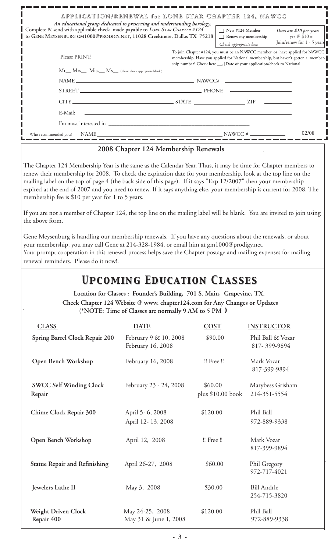| Complete & send with applicable check made payable to LONE STAR CHAPTER #124<br>GENE MEYSENBURG GM1000@PRODIGY.NET, 11028 Creekmere, Dallas TX 75218                                                                                                                                                                                                                                                                                                                                                                                                                                                                                                                                                                                                                                                                                                                                                                             | APPLICATION/RENEWAL for LONE STAR CHAPTER 124, NAWCC<br>An educational group dedicated to preserving and understanding horology.                                                                                                                                                                                                                                                                                                                                                                             | $\Box$ New #124 Member<br>$\Box$ Renew my membership                                                                                                                                         | Dues are \$10 per year.<br>yrs $@$ \$10 = |
|----------------------------------------------------------------------------------------------------------------------------------------------------------------------------------------------------------------------------------------------------------------------------------------------------------------------------------------------------------------------------------------------------------------------------------------------------------------------------------------------------------------------------------------------------------------------------------------------------------------------------------------------------------------------------------------------------------------------------------------------------------------------------------------------------------------------------------------------------------------------------------------------------------------------------------|--------------------------------------------------------------------------------------------------------------------------------------------------------------------------------------------------------------------------------------------------------------------------------------------------------------------------------------------------------------------------------------------------------------------------------------------------------------------------------------------------------------|----------------------------------------------------------------------------------------------------------------------------------------------------------------------------------------------|-------------------------------------------|
| Please PRINT:                                                                                                                                                                                                                                                                                                                                                                                                                                                                                                                                                                                                                                                                                                                                                                                                                                                                                                                    |                                                                                                                                                                                                                                                                                                                                                                                                                                                                                                              | Check appropriate box:<br>To join Chapter #124, you must be an NAWCC member, or have applied for NAWCC<br>membership. Have you applied for National membership, but haven't gotten a member- | Join/renew for 1 - 5 years                |
| Mr__ Mrs___ Miss__ Ms__ (Please check appropriate blank.)                                                                                                                                                                                                                                                                                                                                                                                                                                                                                                                                                                                                                                                                                                                                                                                                                                                                        |                                                                                                                                                                                                                                                                                                                                                                                                                                                                                                              | ship number? Check here __, [Date of your application/check to National                                                                                                                      |                                           |
|                                                                                                                                                                                                                                                                                                                                                                                                                                                                                                                                                                                                                                                                                                                                                                                                                                                                                                                                  | $\begin{tabular}{c c c c c} \hline \multicolumn{3}{c c }{\text{NAME}} & \multicolumn{3}{c }{\text{NAME}} \\ \hline \multicolumn{3}{c }{\text{NAME}} & \multicolumn{3}{c }{\text{EXAMPLE}} \\ \hline \multicolumn{3}{c }{\text{NAME}} & \multicolumn{3}{c }{\text{EXAMPLE}} \\ \hline \multicolumn{3}{c }{\text{NAME}} & \multicolumn{3}{c }{\text{EXAMPLE}} \\ \hline \multicolumn{3}{c }{\text{NAME}} & \multicolumn{3}{c }{\text{EXAMPLE}} \\ \hline \multicolumn{3}{c }{\text{NAME}} & \multicolumn{3}{c$ |                                                                                                                                                                                              |                                           |
|                                                                                                                                                                                                                                                                                                                                                                                                                                                                                                                                                                                                                                                                                                                                                                                                                                                                                                                                  | STREET PHONE                                                                                                                                                                                                                                                                                                                                                                                                                                                                                                 |                                                                                                                                                                                              |                                           |
|                                                                                                                                                                                                                                                                                                                                                                                                                                                                                                                                                                                                                                                                                                                                                                                                                                                                                                                                  | $CITY$ $ZIP$ $ZIP$                                                                                                                                                                                                                                                                                                                                                                                                                                                                                           |                                                                                                                                                                                              |                                           |
| E-Mail:                                                                                                                                                                                                                                                                                                                                                                                                                                                                                                                                                                                                                                                                                                                                                                                                                                                                                                                          |                                                                                                                                                                                                                                                                                                                                                                                                                                                                                                              |                                                                                                                                                                                              |                                           |
|                                                                                                                                                                                                                                                                                                                                                                                                                                                                                                                                                                                                                                                                                                                                                                                                                                                                                                                                  |                                                                                                                                                                                                                                                                                                                                                                                                                                                                                                              |                                                                                                                                                                                              |                                           |
|                                                                                                                                                                                                                                                                                                                                                                                                                                                                                                                                                                                                                                                                                                                                                                                                                                                                                                                                  | $\begin{array}{c}\nNAME \quad \quad \text{NAWCC} \# \end{array}$                                                                                                                                                                                                                                                                                                                                                                                                                                             |                                                                                                                                                                                              | 02/08                                     |
| Who recommended you?                                                                                                                                                                                                                                                                                                                                                                                                                                                                                                                                                                                                                                                                                                                                                                                                                                                                                                             |                                                                                                                                                                                                                                                                                                                                                                                                                                                                                                              |                                                                                                                                                                                              |                                           |
| renew their membership for 2008. To check the expiration date for your membership, look at the top line on the<br>mailing label on the top of page 4 (the back side of this page). If it says "Exp 12/2007" then your membership<br>expired at the end of 2007 and you need to renew. If it says anything else, your membership is current for 2008. The<br>membership fee is \$10 per year for 1 to 5 years.<br>If you are not a member of Chapter 124, the top line on the mailing label will be blank. You are invited to join using<br>the above form.<br>Gene Meysenburg is handling our membership renewals. If you have any questions about the renewals, or about<br>your membership, you may call Gene at 214-328-1984, or email him at gm1000@prodigy.net.<br>Your prompt cooperation in this renewal process helps save the Chapter postage and mailing expenses for mailing<br>renewal reminders. Please do it now!. |                                                                                                                                                                                                                                                                                                                                                                                                                                                                                                              |                                                                                                                                                                                              |                                           |
|                                                                                                                                                                                                                                                                                                                                                                                                                                                                                                                                                                                                                                                                                                                                                                                                                                                                                                                                  | <b>UPCOMING EDUCATION CLASSES</b><br>Location for Classes : Founder's Building, 701 S. Main, Grapevine, TX.<br>Check Chapter 124 Website @ www. chapter124.com for Any Changes or Updates<br>(*NOTE: Time of Classes are normally 9 AM to 5 PM)                                                                                                                                                                                                                                                              |                                                                                                                                                                                              |                                           |
|                                                                                                                                                                                                                                                                                                                                                                                                                                                                                                                                                                                                                                                                                                                                                                                                                                                                                                                                  |                                                                                                                                                                                                                                                                                                                                                                                                                                                                                                              |                                                                                                                                                                                              |                                           |
| <b>CLASS</b>                                                                                                                                                                                                                                                                                                                                                                                                                                                                                                                                                                                                                                                                                                                                                                                                                                                                                                                     | <b>DATE</b>                                                                                                                                                                                                                                                                                                                                                                                                                                                                                                  | COST<br><b>INSTRUCTOR</b>                                                                                                                                                                    |                                           |
| <b>Spring Barrel Clock Repair 200</b>                                                                                                                                                                                                                                                                                                                                                                                                                                                                                                                                                                                                                                                                                                                                                                                                                                                                                            | February 9 & 10, 2008<br>February 16, 2008                                                                                                                                                                                                                                                                                                                                                                                                                                                                   | \$90.00                                                                                                                                                                                      | Phil Ball & Vozar<br>817-399-9894         |

**Open Bench Workshop February 16, 2008** !! Free !! Mark Vozar

 **Chime Clock Repair 300** April 5- 6, 2008 \$120.00 Phil Ball

**Open Bench Workshop April 12, 2008** !! Free !! Mark Vozar

Statue Repair and Refinishing <br> **April 26-27, 2008** \$60.00 Phil Gregory

**Jewelers Lathe II** May 3, 2008 \$30.00 Bill Andrle

Weight Driven Clock May 24-25, 2008 \$120.00 Phil Ball

**Repair 400** May 31 & June 1, 2008 972-889-9338

**SWCC Self Winding Clock** February 23 - 24, 2008 \$60.00 Marybess Grisham **Repair** plus \$10.00 book 214-351-5554

817-399-9894

817-399-9894

972-717-4021

254-715-3820

April 12- 13, 2008 972-889-9338